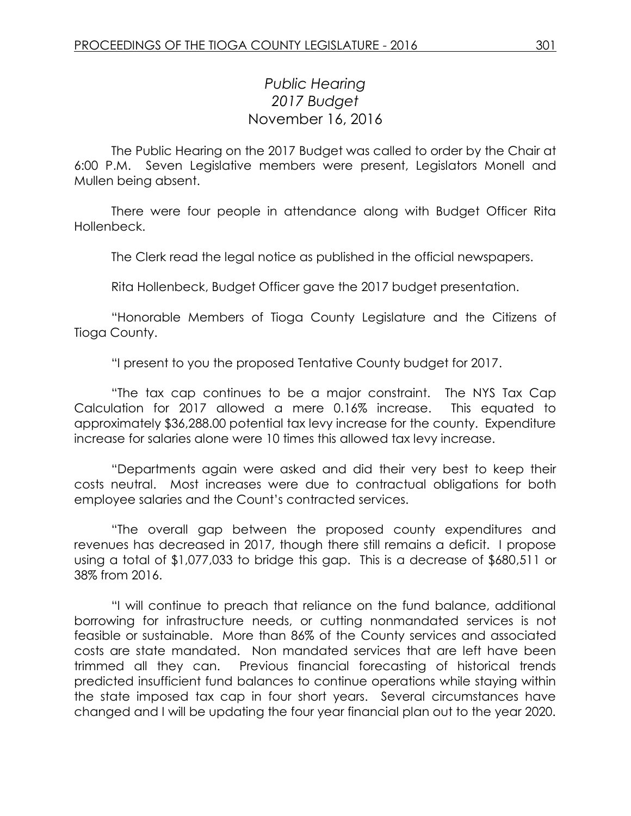## *Public Hearing 2017 Budget* November 16, 2016

The Public Hearing on the 2017 Budget was called to order by the Chair at 6:00 P.M. Seven Legislative members were present, Legislators Monell and Mullen being absent.

There were four people in attendance along with Budget Officer Rita Hollenbeck.

The Clerk read the legal notice as published in the official newspapers.

Rita Hollenbeck, Budget Officer gave the 2017 budget presentation.

"Honorable Members of Tioga County Legislature and the Citizens of Tioga County.

"I present to you the proposed Tentative County budget for 2017.

"The tax cap continues to be a major constraint. The NYS Tax Cap Calculation for 2017 allowed a mere 0.16% increase. This equated to approximately \$36,288.00 potential tax levy increase for the county. Expenditure increase for salaries alone were 10 times this allowed tax levy increase.

"Departments again were asked and did their very best to keep their costs neutral. Most increases were due to contractual obligations for both employee salaries and the Count's contracted services.

"The overall gap between the proposed county expenditures and revenues has decreased in 2017, though there still remains a deficit. I propose using a total of \$1,077,033 to bridge this gap. This is a decrease of \$680,511 or 38% from 2016.

"I will continue to preach that reliance on the fund balance, additional borrowing for infrastructure needs, or cutting nonmandated services is not feasible or sustainable. More than 86% of the County services and associated costs are state mandated. Non mandated services that are left have been trimmed all they can. Previous financial forecasting of historical trends predicted insufficient fund balances to continue operations while staying within the state imposed tax cap in four short years. Several circumstances have changed and I will be updating the four year financial plan out to the year 2020.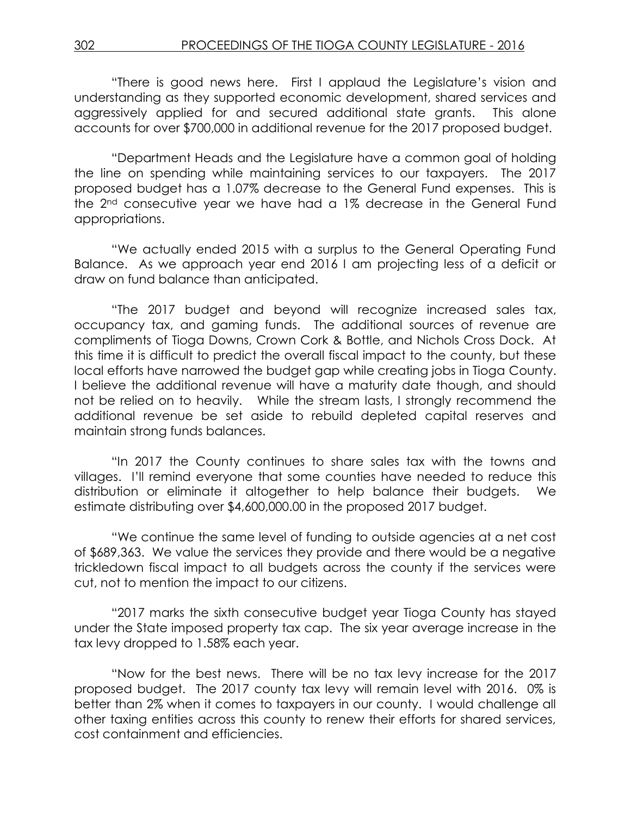"There is good news here. First I applaud the Legislature's vision and understanding as they supported economic development, shared services and aggressively applied for and secured additional state grants. This alone accounts for over \$700,000 in additional revenue for the 2017 proposed budget.

"Department Heads and the Legislature have a common goal of holding the line on spending while maintaining services to our taxpayers. The 2017 proposed budget has a 1.07% decrease to the General Fund expenses. This is the 2nd consecutive year we have had a 1% decrease in the General Fund appropriations.

"We actually ended 2015 with a surplus to the General Operating Fund Balance. As we approach year end 2016 I am projecting less of a deficit or draw on fund balance than anticipated.

"The 2017 budget and beyond will recognize increased sales tax, occupancy tax, and gaming funds. The additional sources of revenue are compliments of Tioga Downs, Crown Cork & Bottle, and Nichols Cross Dock. At this time it is difficult to predict the overall fiscal impact to the county, but these local efforts have narrowed the budget gap while creating jobs in Tioga County. I believe the additional revenue will have a maturity date though, and should not be relied on to heavily. While the stream lasts, I strongly recommend the additional revenue be set aside to rebuild depleted capital reserves and maintain strong funds balances.

"In 2017 the County continues to share sales tax with the towns and villages. I'll remind everyone that some counties have needed to reduce this distribution or eliminate it altogether to help balance their budgets. We estimate distributing over \$4,600,000.00 in the proposed 2017 budget.

"We continue the same level of funding to outside agencies at a net cost of \$689,363. We value the services they provide and there would be a negative trickledown fiscal impact to all budgets across the county if the services were cut, not to mention the impact to our citizens.

"2017 marks the sixth consecutive budget year Tioga County has stayed under the State imposed property tax cap. The six year average increase in the tax levy dropped to 1.58% each year.

"Now for the best news. There will be no tax levy increase for the 2017 proposed budget. The 2017 county tax levy will remain level with 2016. 0% is better than 2% when it comes to taxpayers in our county. I would challenge all other taxing entities across this county to renew their efforts for shared services, cost containment and efficiencies.